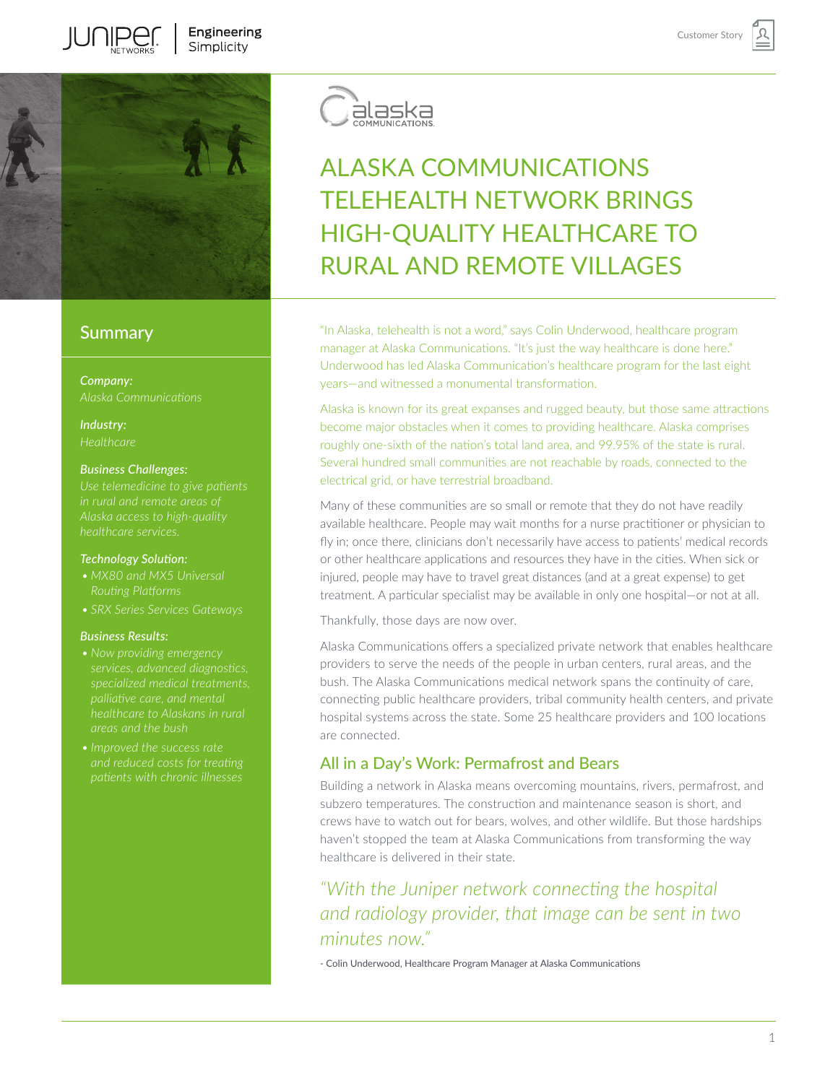

# **Summary**

*Company:*

*Industry:*

### *Business Challenges:*

### *Technology Solution:*

- *Routing Platforms*
- 

### *Business Results:*

- 
- *• Improved the success rate and reduced costs for treating*



# ALASKA COMMUNICATIONS TELEHEALTH NETWORK BRINGS HIGH-QUALITY HEALTHCARE TO RURAL AND REMOTE VILLAGES

"In Alaska, telehealth is not a word," says Colin Underwood, healthcare program manager at Alaska Communications. "It's just the way healthcare is done here." Underwood has led Alaska Communication's healthcare program for the last eight years—and witnessed a monumental transformation.

Alaska is known for its great expanses and rugged beauty, but those same attractions become major obstacles when it comes to providing healthcare. Alaska comprises roughly one-sixth of the nation's total land area, and 99.95% of the state is rural. Several hundred small communities are not reachable by roads, connected to the electrical grid, or have terrestrial broadband.

Many of these communities are so small or remote that they do not have readily available healthcare. People may wait months for a nurse practitioner or physician to fly in; once there, clinicians don't necessarily have access to patients' medical records or other healthcare applications and resources they have in the cities. When sick or injured, people may have to travel great distances (and at a great expense) to get treatment. A particular specialist may be available in only one hospital—or not at all.

Thankfully, those days are now over.

Alaska Communications offers a specialized private network that enables healthcare providers to serve the needs of the people in urban centers, rural areas, and the bush. The Alaska Communications medical network spans the continuity of care, connecting public healthcare providers, tribal community health centers, and private hospital systems across the state. Some 25 healthcare providers and 100 locations are connected.

# All in a Day's Work: Permafrost and Bears

Building a network in Alaska means overcoming mountains, rivers, permafrost, and subzero temperatures. The construction and maintenance season is short, and crews have to watch out for bears, wolves, and other wildlife. But those hardships haven't stopped the team at Alaska Communications from transforming the way healthcare is delivered in their state.

# *"With the Juniper network connecting the hospital and radiology provider, that image can be sent in two minutes now."*

- Colin Underwood, Healthcare Program Manager at Alaska Communications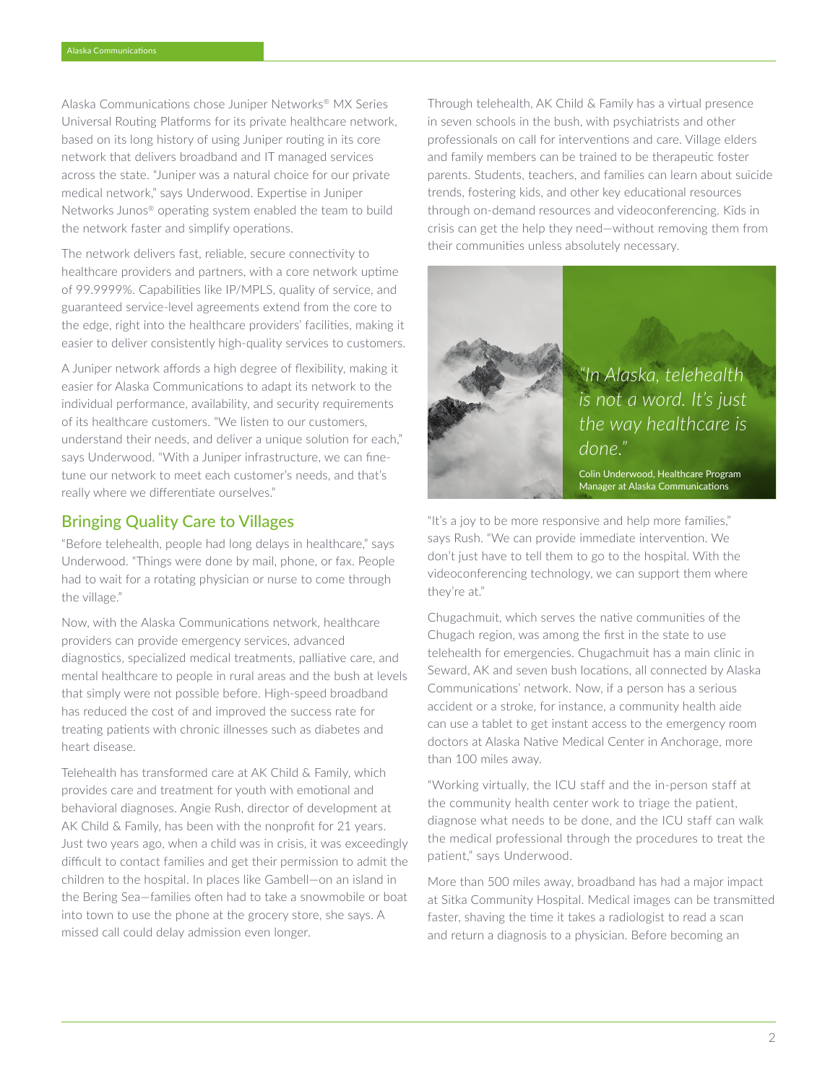Alaska Communications chose Juniper Networks® MX Series Universal Routing Platforms for its private healthcare network, based on its long history of using Juniper routing in its core network that delivers broadband and IT managed services across the state. "Juniper was a natural choice for our private medical network," says Underwood. Expertise in Juniper Networks Junos® operating system enabled the team to build the network faster and simplify operations.

The network delivers fast, reliable, secure connectivity to healthcare providers and partners, with a core network uptime of 99.9999%. Capabilities like IP/MPLS, quality of service, and guaranteed service-level agreements extend from the core to the edge, right into the healthcare providers' facilities, making it easier to deliver consistently high-quality services to customers.

A Juniper network affords a high degree of flexibility, making it easier for Alaska Communications to adapt its network to the individual performance, availability, and security requirements of its healthcare customers. "We listen to our customers, understand their needs, and deliver a unique solution for each," says Underwood. "With a Juniper infrastructure, we can finetune our network to meet each customer's needs, and that's really where we differentiate ourselves."

## Bringing Quality Care to Villages

"Before telehealth, people had long delays in healthcare," says Underwood. "Things were done by mail, phone, or fax. People had to wait for a rotating physician or nurse to come through the village."

Now, with the Alaska Communications network, healthcare providers can provide emergency services, advanced diagnostics, specialized medical treatments, palliative care, and mental healthcare to people in rural areas and the bush at levels that simply were not possible before. High-speed broadband has reduced the cost of and improved the success rate for treating patients with chronic illnesses such as diabetes and heart disease.

Telehealth has transformed care at AK Child & Family, which provides care and treatment for youth with emotional and behavioral diagnoses. Angie Rush, director of development at AK Child & Family, has been with the nonprofit for 21 years. Just two years ago, when a child was in crisis, it was exceedingly difficult to contact families and get their permission to admit the children to the hospital. In places like Gambell—on an island in the Bering Sea—families often had to take a snowmobile or boat into town to use the phone at the grocery store, she says. A missed call could delay admission even longer.

Through telehealth, AK Child & Family has a virtual presence in seven schools in the bush, with psychiatrists and other professionals on call for interventions and care. Village elders and family members can be trained to be therapeutic foster parents. Students, teachers, and families can learn about suicide trends, fostering kids, and other key educational resources through on-demand resources and videoconferencing. Kids in crisis can get the help they need—without removing them from their communities unless absolutely necessary.



*"In Alaska, telehealth is not a word. It's just the way healthcare is done."*

Colin Underwood, Healthcare Program Manager at Alaska Communications

"It's a joy to be more responsive and help more families," says Rush. "We can provide immediate intervention. We don't just have to tell them to go to the hospital. With the videoconferencing technology, we can support them where they're at."

Chugachmuit, which serves the native communities of the Chugach region, was among the first in the state to use telehealth for emergencies. Chugachmuit has a main clinic in Seward, AK and seven bush locations, all connected by Alaska Communications' network. Now, if a person has a serious accident or a stroke, for instance, a community health aide can use a tablet to get instant access to the emergency room doctors at Alaska Native Medical Center in Anchorage, more than 100 miles away.

"Working virtually, the ICU staff and the in-person staff at the community health center work to triage the patient, diagnose what needs to be done, and the ICU staff can walk the medical professional through the procedures to treat the patient," says Underwood.

More than 500 miles away, broadband has had a major impact at Sitka Community Hospital. Medical images can be transmitted faster, shaving the time it takes a radiologist to read a scan and return a diagnosis to a physician. Before becoming an